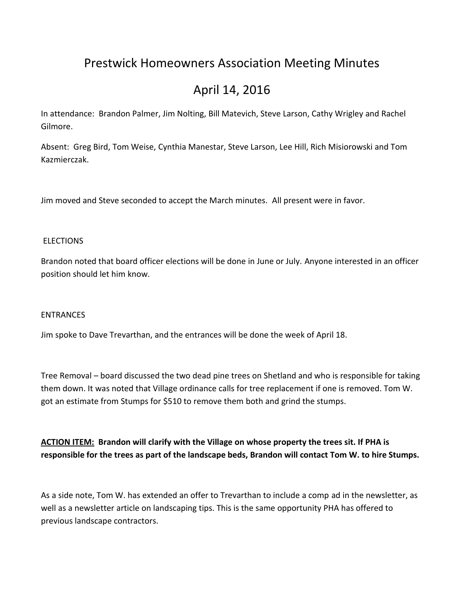# Prestwick Homeowners Association Meeting Minutes

# April 14, 2016

In attendance: Brandon Palmer, Jim Nolting, Bill Matevich, Steve Larson, Cathy Wrigley and Rachel Gilmore.

Absent: Greg Bird, Tom Weise, Cynthia Manestar, Steve Larson, Lee Hill, Rich Misiorowski and Tom Kazmierczak.

Jim moved and Steve seconded to accept the March minutes. All present were in favor.

#### **ELECTIONS**

Brandon noted that board officer elections will be done in June or July. Anyone interested in an officer position should let him know.

#### **FNTRANCES**

Jim spoke to Dave Trevarthan, and the entrances will be done the week of April 18.

Tree Removal – board discussed the two dead pine trees on Shetland and who is responsible for taking them down. It was noted that Village ordinance calls for tree replacement if one is removed. Tom W. got an estimate from Stumps for \$510 to remove them both and grind the stumps.

**ACTION ITEM: Brandon will clarify with the Village on whose property the trees sit. If PHA is responsible for the trees as part of the landscape beds, Brandon will contact Tom W. to hire Stumps.**

As a side note, Tom W. has extended an offer to Trevarthan to include a comp ad in the newsletter, as well as a newsletter article on landscaping tips. This is the same opportunity PHA has offered to previous landscape contractors.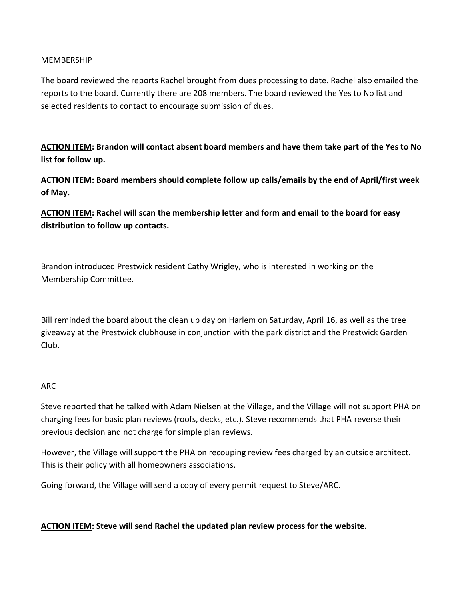### **MEMBERSHIP**

The board reviewed the reports Rachel brought from dues processing to date. Rachel also emailed the reports to the board. Currently there are 208 members. The board reviewed the Yes to No list and selected residents to contact to encourage submission of dues.

**ACTION ITEM: Brandon will contact absent board members and have them take part of the Yes to No list for follow up.**

**ACTION ITEM: Board members should complete follow up calls/emails by the end of April/first week of May.**

**ACTION ITEM: Rachel will scan the membership letter and form and email to the board for easy distribution to follow up contacts.**

Brandon introduced Prestwick resident Cathy Wrigley, who is interested in working on the Membership Committee.

Bill reminded the board about the clean up day on Harlem on Saturday, April 16, as well as the tree giveaway at the Prestwick clubhouse in conjunction with the park district and the Prestwick Garden Club.

#### ARC

Steve reported that he talked with Adam Nielsen at the Village, and the Village will not support PHA on charging fees for basic plan reviews (roofs, decks, etc.). Steve recommends that PHA reverse their previous decision and not charge for simple plan reviews.

However, the Village will support the PHA on recouping review fees charged by an outside architect. This is their policy with all homeowners associations.

Going forward, the Village will send a copy of every permit request to Steve/ARC.

## **ACTION ITEM: Steve will send Rachel the updated plan review process for the website.**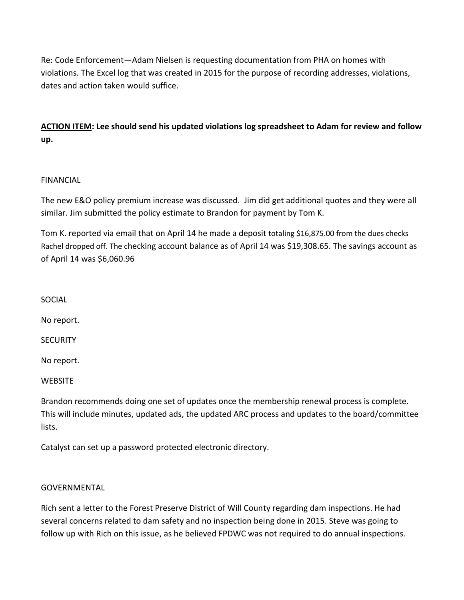Re: Code Enforcement—Adam Nielsen is requesting documentation from PHA on homes with violations. The Excel log that was created in 2015 for the purpose of recording addresses, violations, dates and action taken would suffice.

**ACTION ITEM: Lee should send his updated violations log spreadsheet to Adam for review and follow up.**

## FINANCIAL

The new E&O policy premium increase was discussed. Jim did get additional quotes and they were all similar. Jim submitted the policy estimate to Brandon for payment by Tom K.

Tom K. reported via email that on April 14 he made a deposit totaling \$16,875.00 from the dues checks Rachel dropped off. The checking account balance as of April 14 was \$19,308.65. The savings account as of April 14 was \$6,060.96

SOCIAL

No report.

**SECURITY** 

No report.

**WEBSITE** 

Brandon recommends doing one set of updates once the membership renewal process is complete. This will include minutes, updated ads, the updated ARC process and updates to the board/committee lists.

Catalyst can set up a password protected electronic directory.

#### **GOVERNMENTAL**

Rich sent a letter to the Forest Preserve District of Will County regarding dam inspections. He had several concerns related to dam safety and no inspection being done in 2015. Steve was going to follow up with Rich on this issue, as he believed FPDWC was not required to do annual inspections.